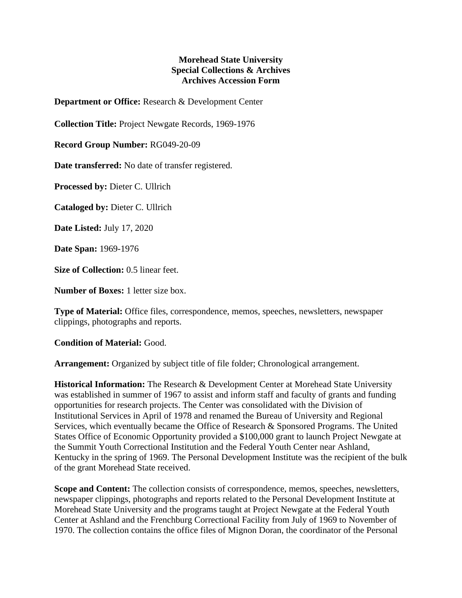## **Morehead State University Special Collections & Archives Archives Accession Form**

**Department or Office:** Research & Development Center

**Collection Title:** Project Newgate Records, 1969-1976

**Record Group Number:** RG049-20-09

**Date transferred:** No date of transfer registered.

**Processed by:** Dieter C. Ullrich

**Cataloged by:** Dieter C. Ullrich

**Date Listed:** July 17, 2020

**Date Span:** 1969-1976

**Size of Collection:** 0.5 linear feet.

**Number of Boxes:** 1 letter size box.

**Type of Material:** Office files, correspondence, memos, speeches, newsletters, newspaper clippings, photographs and reports.

**Condition of Material:** Good.

**Arrangement:** Organized by subject title of file folder; Chronological arrangement.

**Historical Information:** The Research & Development Center at Morehead State University was established in summer of 1967 to assist and inform staff and faculty of grants and funding opportunities for research projects. The Center was consolidated with the Division of Institutional Services in April of 1978 and renamed the Bureau of University and Regional Services, which eventually became the Office of Research & Sponsored Programs. The United States Office of Economic Opportunity provided a \$100,000 grant to launch Project Newgate at the Summit Youth Correctional Institution and the Federal Youth Center near Ashland, Kentucky in the spring of 1969. The Personal Development Institute was the recipient of the bulk of the grant Morehead State received.

**Scope and Content:** The collection consists of correspondence, memos, speeches, newsletters, newspaper clippings, photographs and reports related to the Personal Development Institute at Morehead State University and the programs taught at Project Newgate at the Federal Youth Center at Ashland and the Frenchburg Correctional Facility from July of 1969 to November of 1970. The collection contains the office files of Mignon Doran, the coordinator of the Personal